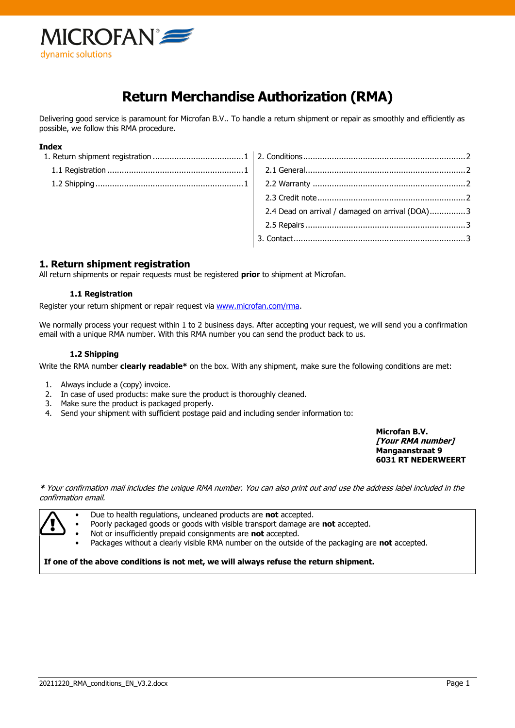

# **Return Merchandise Authorization (RMA)**

Delivering good service is paramount for Microfan B.V.. To handle a return shipment or repair as smoothly and efficiently as possible, we follow this RMA procedure.

#### **Index**

| 2.4 Dead on arrival / damaged on arrival (DOA)3 |
|-------------------------------------------------|

# <span id="page-0-0"></span>**1. Return shipment registration**

<span id="page-0-1"></span>All return shipments or repair requests must be registered **prior** to shipment at Microfan.

#### **1.1 Registration**

Register your return shipment or repair request via [www.microfan.com/rma.](http://www.microfan.com/rma)

<span id="page-0-2"></span>We normally process your request within 1 to 2 business days. After accepting your request, we will send you a confirmation email with a unique RMA number. With this RMA number you can send the product back to us.

#### **1.2 Shipping**

Write the RMA number **clearly readable\*** on the box. With any shipment, make sure the following conditions are met:

- 1. Always include a (copy) invoice.
- 2. In case of used products: make sure the product is thoroughly cleaned.
- 3. Make sure the product is packaged properly.
- 4. Send your shipment with sufficient postage paid and including sender information to:

**Microfan B.V. [Your RMA number] Mangaanstraat 9 6031 RT NEDERWEERT**

**\*** Your confirmation mail includes the unique RMA number. You can also print out and use the address label included in the confirmation email.



• Due to health regulations, uncleaned products are **not** accepted.

• Poorly packaged goods or goods with visible transport damage are **not** accepted.

- Not or insufficiently prepaid consignments are **not** accepted.
	- Packages without a clearly visible RMA number on the outside of the packaging are **not** accepted.

**If one of the above conditions is not met, we will always refuse the return shipment.**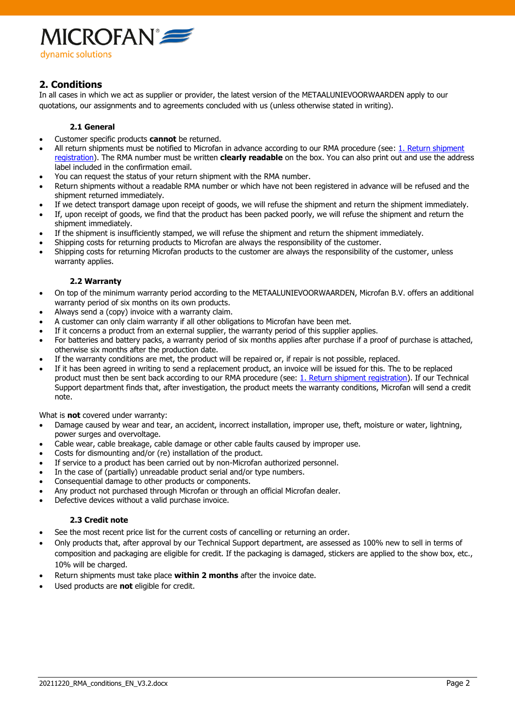

# <span id="page-1-0"></span>**2. Conditions**

In all cases in which we act as supplier or provider, the latest version of the METAALUNIEVOORWAARDEN apply to our quotations, our assignments and to agreements concluded with us (unless otherwise stated in writing).

## **2.1 General**

- <span id="page-1-1"></span>• Customer specific products **cannot** be returned.
- All return shipments must be notified to Microfan in advance according to our RMA procedure (see: 1. Return shipment [registration\)](#page-0-0). The RMA number must be written **clearly readable** on the box. You can also print out and use the address label included in the confirmation email.
- You can request the status of your return shipment with the RMA number.
- Return shipments without a readable RMA number or which have not been registered in advance will be refused and the shipment returned immediately.
- If we detect transport damage upon receipt of goods, we will refuse the shipment and return the shipment immediately.
- If, upon receipt of goods, we find that the product has been packed poorly, we will refuse the shipment and return the shipment immediately.
- If the shipment is insufficiently stamped, we will refuse the shipment and return the shipment immediately.
- Shipping costs for returning products to Microfan are always the responsibility of the customer.
- <span id="page-1-2"></span>• Shipping costs for returning Microfan products to the customer are always the responsibility of the customer, unless warranty applies.

## **2.2 Warranty**

- On top of the minimum warranty period according to the METAALUNIEVOORWAARDEN, Microfan B.V. offers an additional warranty period of six months on its own products.
- Always send a (copy) invoice with a warranty claim.
- A customer can only claim warranty if all other obligations to Microfan have been met.
- If it concerns a product from an external supplier, the warranty period of this supplier applies.
- For batteries and battery packs, a warranty period of six months applies after purchase if a proof of purchase is attached, otherwise six months after the production date.
- If the warranty conditions are met, the product will be repaired or, if repair is not possible, replaced.
- If it has been agreed in writing to send a replacement product, an invoice will be issued for this. The to be replaced product must then be sent back according to our RMA procedure (see: [1. Return shipment registration\)](#page-0-0). If our Technical Support department finds that, after investigation, the product meets the warranty conditions, Microfan will send a credit note.

What is **not** covered under warranty:

- Damage caused by wear and tear, an accident, incorrect installation, improper use, theft, moisture or water, lightning, power surges and overvoltage.
- Cable wear, cable breakage, cable damage or other cable faults caused by improper use.
- Costs for dismounting and/or (re) installation of the product.
- If service to a product has been carried out by non-Microfan authorized personnel.
- In the case of (partially) unreadable product serial and/or type numbers.
- Consequential damage to other products or components.
- Any product not purchased through Microfan or through an official Microfan dealer.
- <span id="page-1-3"></span>• Defective devices without a valid purchase invoice.

## **2.3 Credit note**

- See the most recent price list for the current costs of cancelling or returning an order.
- Only products that, after approval by our Technical Support department, are assessed as 100% new to sell in terms of composition and packaging are eligible for credit. If the packaging is damaged, stickers are applied to the show box, etc., 10% will be charged.
- Return shipments must take place **within 2 months** after the invoice date.
- <span id="page-1-4"></span>• Used products are **not** eligible for credit.